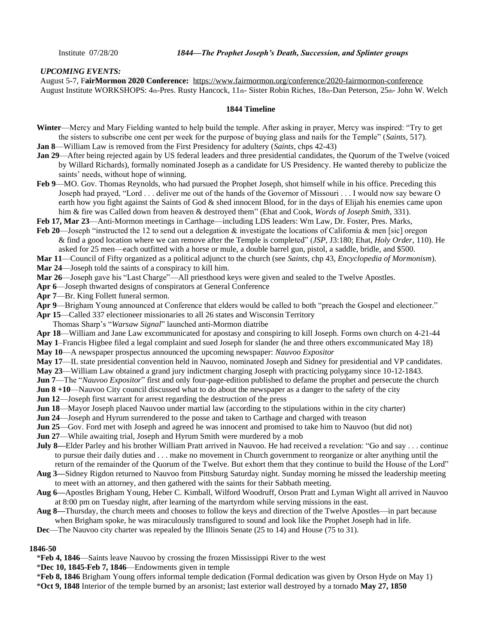# *UPCOMING EVENTS:*

August 5-7, F**[airMormon 2020 Conference:](https://www.fairmormon.org/conference/2020-fairmormon-conference)** <https://www.fairmormon.org/conference/2020-fairmormon-conference> August Institute WORKSHOPS: 4th-Pres. Rusty Hancock, 11th- Sister Robin Riches, 18th-Dan Peterson, 25th- John W. Welch

#### **1844 Timeline**

- **Winter**—Mercy and Mary Fielding wanted to help build the temple. After asking in prayer, Mercy was inspired: "Try to get the sisters to subscribe one cent per week for the purpose of buying glass and nails for the Temple" (*Saints,* 517).
- **Jan 8**—William Law is removed from the First Presidency for adultery (*Saints,* chps 42-43)
- **Jan 29**—After being rejected again by US federal leaders and three presidential candidates, the Quorum of the Twelve (voiced by Willard Richards), formally nominated Joseph as a candidate for US Presidency. He wanted thereby to publicize the saints' needs, without hope of winning.
- **Feb 9**—MO. Gov. Thomas Reynolds, who had pursued the Prophet Joseph, shot himself while in his office. Preceding this Joseph had prayed, "Lord . . . deliver me out of the hands of the Governor of Missouri . . . I would now say beware O earth how you fight against the Saints of God & shed innocent Blood, for in the days of Elijah his enemies came upon him & fire was Called down from heaven & destroyed them" (Ehat and Cook, *Words of Joseph Smith*, 331).
- **Feb 17, Mar 23**—Anti-Mormon meetings in Carthage—including LDS leaders: Wm Law, Dr. Foster, Pres. Marks,
- **Feb 20**—Joseph "instructed the 12 to send out a delegation & investigate the locations of California & men [sic] oregon & find a good location where we can remove after the Temple is completed" (*JSP,* J3:180; Ehat, *Holy Order,* 110). He asked for 25 men—each outfitted with a horse or mule, a double barrel gun, pistol, a saddle, bridle, and \$500.
- **Mar 11**—Council of Fifty organized as a political adjunct to the church (see *Saints,* chp 43, *Encyclopedia of Mormonism*).
- **Mar 24**—Joseph told the saints of a conspiracy to kill him.
- **Mar 26**—Joseph gave his "Last Charge"—All priesthood keys were given and sealed to the Twelve Apostles.
- **Apr 6**—Joseph thwarted designs of conspirators at General Conference
- **Apr 7**—Br. King Follett funeral sermon.
- **Apr 9**—Brigham Young announced at Conference that elders would be called to both "preach the Gospel and electioneer."
- **Apr 15**—Called 337 electioneer missionaries to all 26 states and Wisconsin Territory
- Thomas Sharp's "*Warsaw Signal*" launched anti-Mormon diatribe
- **Apr 18**—William and Jane Law excommunicated for apostasy and conspiring to kill Joseph. Forms own church on 4-21-44
- **May 1**–Francis Higbee filed a legal complaint and sued Joseph for slander (he and three others excommunicated May 18)
- **May 10**—A newspaper prospectus announced the upcoming newspaper: *Nauvoo Expositor*
- **May 17**—IL state presidential convention held in Nauvoo, nominated Joseph and Sidney for presidential and VP candidates.
- **May 23**—William Law obtained a grand jury indictment charging Joseph with practicing polygamy since 10-12-1843.
- **Jun 7**—The "*Nauvoo Expositor*" first and only four-page-edition published to defame the prophet and persecute the church
- **Jun 8 +10—Nauvoo City council discussed what to do about the newspaper as a danger to the safety of the city**
- **Jun 12**—Joseph first warrant for arrest regarding the destruction of the press
- **Jun 18—Mayor Joseph placed Nauvoo under martial law (according to the stipulations within in the city charter)**
- **Jun 24**—Joseph and Hyrum surrendered to the posse and taken to Carthage and charged with treason
- **Jun 25—Gov.** Ford met with Joseph and agreed he was innocent and promised to take him to Nauvoo (but did not)
- **Jun 27**—While awaiting trial, Joseph and Hyrum Smith were murdered by a mob
- **July 8—Elder Parley and his brother William Pratt arrived in Nauvoo. He had received a revelation: "Go and say ... continue** to pursue their daily duties and . . . make no movement in Church government to reorganize or alter anything until the return of the remainder of the Quorum of the Twelve. But exhort them that they continue to build the House of the Lord"
- **Aug 3—**Sidney Rigdon returned to Nauvoo from Pittsburg Saturday night. Sunday morning he missed the leadership meeting to meet with an attorney, and then gathered with the saints for their Sabbath meeting.
- **Aug 6—**Apostles Brigham Young, Heber C. Kimball, Wilford Woodruff, Orson Pratt and Lyman Wight all arrived in Nauvoo at 8:00 pm on Tuesday night, after learning of the martyrdom while serving missions in the east.
- **Aug 8—**Thursday, the church meets and chooses to follow the keys and direction of the Twelve Apostles—in part because when Brigham spoke, he was miraculously transfigured to sound and look like the Prophet Joseph had in life.
- **Dec**—The Nauvoo city charter was repealed by the Illinois Senate (25 to 14) and House (75 to 31).

#### **1846-50**

- \***Feb 4, 1846**—Saints leave Nauvoo by crossing the frozen Mississippi River to the west
- \***Dec 10, 1845-Feb 7, 1846**—Endowments given in temple
- \***Feb 8, 1846** Brigham Young offers informal temple dedication (Formal dedication was given by Orson Hyde on May 1)
- \***Oct 9, 1848** Interior of the temple burned by an arsonist; last exterior wall destroyed by a tornado **May 27, 1850**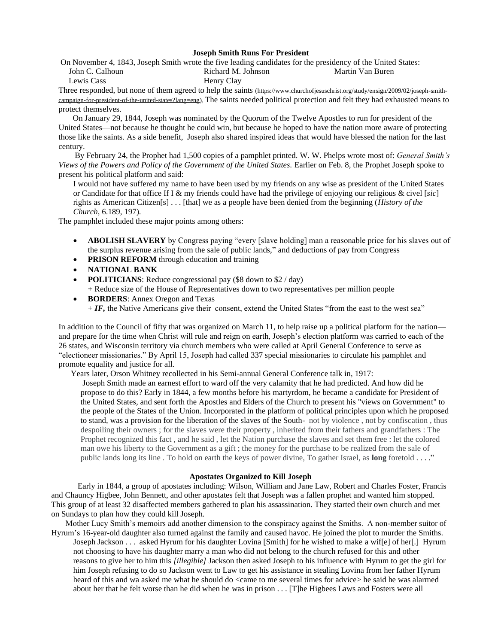## **Joseph Smith Runs For President**

On November 4, 1843, Joseph Smith wrote the five leading candidates for the presidency of the United States: John C. Calhoun Lewis Cass Richard M. Johnson Henry Clay Martin Van Buren

Three responded, but none of them agreed to help the saints (https://www.churchofiesuschrist.org/study/ensign/2009/02/joseph-smith[campaign-for-president-of-the-united-states?lang=eng\)](https://www.churchofjesuschrist.org/study/ensign/2009/02/joseph-smith-campaign-for-president-of-the-united-states?lang=eng), The saints needed political protection and felt they had exhausted means to protect themselves.

 On January 29, 1844, Joseph was nominated by the Quorum of the Twelve Apostles to run for president of the United States—not because he thought he could win, but because he hoped to have the nation more aware of protecting those like the saints. As a side benefit, Joseph also shared inspired ideas that would have blessed the nation for the last century.

 By February 24, the Prophet had 1,500 copies of a pamphlet printed. W. W. Phelps wrote most of: *General Smith's Views of the Powers and Policy of the Government of the United States.* Earlier on Feb. 8, the Prophet Joseph spoke to present his political platform and said:

I would not have suffered my name to have been used by my friends on any wise as president of the United States or Candidate for that office If I & my friends could have had the privilege of enjoying our religious & civel [*sic*] rights as American Citizen[s] . . . [that] we as a people have been denied from the beginning (*History of the Church*, 6.189, 197).

The pamphlet included these major points among others:

- **ABOLISH SLAVERY** by Congress paying "every [slave holding] man a reasonable price for his slaves out of the surplus revenue arising from the sale of public lands," and deductions of pay from Congress
- **PRISON REFORM** through education and training
- **NATIONAL BANK**
- **POLITICIANS**: Reduce congressional pay (\$8 down to \$2 / day) + Reduce size of the House of Representatives down to two representatives per million people
- **BORDERS**: Annex Oregon and Texas

 $+ IF$ , the Native Americans give their consent, extend the United States "from the east to the west sea"

In addition to the Council of fifty that was organized on March 11, to help raise up a political platform for the nation and prepare for the time when Christ will rule and reign on earth, Joseph's election platform was carried to each of the 26 states, and Wisconsin territory via church members who were called at April General Conference to serve as "electioneer missionaries." By April 15, Joseph had called 337 special missionaries to circulate his pamphlet and promote equality and justice for all.

Years later, Orson Whitney recollected in his Semi-annual General Conference talk in, 1917:

Joseph Smith made an earnest effort to ward off the very calamity that he had predicted. And how did he propose to do this? Early in 1844, a few months before his martyrdom, he became a candidate for President of the United States, and sent forth the Apostles and Elders of the Church to present his "views on Government" to the people of the States of the Union. Incorporated in the platform of political principles upon which he proposed to stand, was a provision for the liberation of the slaves of the South- not by violence , not by confiscation , thus despoiling their owners ; for the slaves were their property , inherited from their fathers and grandfathers : The Prophet recognized this fact , and he said , let the Nation purchase the slaves and set them free : let the colored man owe his liberty to the Government as a gift ; the money for the purchase to be realized from the sale of public lands long its line . To hold on earth the keys of power divine, To gather Israel, as **long** foretold . . . ."

# **Apostates Organized to Kill Joseph**

 Early in 1844, a group of apostates including: Wilson, William and Jane Law, Robert and Charles Foster, Francis and Chauncy Higbee, John Bennett, and other apostates felt that Joseph was a fallen prophet and wanted him stopped. This group of at least 32 disaffected members gathered to plan his assassination. They started their own church and met on Sundays to plan how they could kill Joseph.

Mother Lucy Smith's memoirs add another dimension to the conspiracy against the Smiths. A non-member suitor of

Hyrum's 16-year-old daughter also turned against the family and caused havoc. He joined the plot to murder the Smiths. Joseph Jackson . . . asked Hyrum for his daughter Lovina [Smith] for he wished to make a wif[e] of her[.] Hyrum not choosing to have his daughter marry a man who did not belong to the church refused for this and other reasons to give her to him this *[illegible]* Jackson then asked Joseph to his influence with Hyrum to get the girl for him Joseph refusing to do so [Jackson](http://beta.josephsmithpapers.org/paper-summary/lucy-mack-smith-history-1844-1845/234#_blank) went to [Law](http://beta.josephsmithpapers.org/paper-summary/lucy-mack-smith-history-1844-1845/234#_blank) to get his assistance in stealing Lovina from her father Hyrum heard of this and wa asked me what he should do <came to me several times for advice> he said he was alarmed about her that he felt worse than he did when he was in prison . . . [T]he Higbees Laws and Fosters were all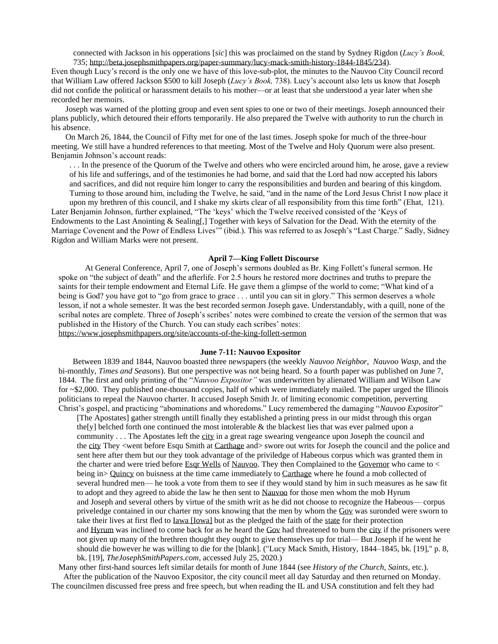connected with Jackson in his opperations [*sic*] this was proclaimed on the stand by Sydney Rigdon (*Lucy's Book,*  735; [http://beta.josephsmithpapers.org/paper-summary/lucy-mack-smith-history-1844-1845/234\)](http://beta.josephsmithpapers.org/paper-summary/lucy-mack-smith-history-1844-1845/234).

Even though Lucy's record is the only one we have of this love-sub-plot, the minutes to the Nauvoo City Council record that William Law offered Jackson \$500 to kill Joseph (*Lucy's Book,* 738). Lucy's account also lets us know that Joseph did not confide the political or harassment details to his mother—or at least that she understood a year later when she recorded her memoirs.

 Joseph was warned of the plotting group and even sent spies to one or two of their meetings. Joseph announced their plans publicly, which detoured their efforts temporarily. He also prepared the Twelve with authority to run the church in his absence.

 On March 26, 1844, the Council of Fifty met for one of the last times. Joseph spoke for much of the three-hour meeting. We still have a hundred references to that meeting. Most of the Twelve and Holy Quorum were also present. Benjamin Johnson's account reads:

. . . In the presence of the Quorum of the Twelve and others who were encircled around him, he arose, gave a review of his life and sufferings, and of the testimonies he had borne, and said that the Lord had now accepted his labors and sacrifices, and did not require him longer to carry the responsibilities and burden and bearing of this kingdom. Turning to those around him, including the Twelve, he said, "and in the name of the Lord Jesus Christ I now place it

upon my brethren of this council, and I shake my skirts clear of all responsibility from this time forth" (Ehat, 121). Later Benjamin Johnson, further explained, "The 'keys' which the Twelve received consisted of the 'Keys of Endowments to the Last Anointing & Sealing[,] Together with keys of Salvation for the Dead. With the eternity of the Marriage Covenent and the Powr of Endless Lives'" (ibid.). This was referred to as Joseph's "Last Charge." Sadly, Sidney Rigdon and William Marks were not present.

#### **April 7—King Follett Discourse**

 At General Conference, April 7, one of Joseph's sermons doubled as Br. King Follett's funeral sermon. He spoke on "the subject of death" and the afterlife. For 2.5 hours he restored more doctrines and truths to prepare the saints for their temple endowment and Eternal Life. He gave them a glimpse of the world to come; "What kind of a being is God? you have got to "go from grace to grace . . . until you can sit in glory." This sermon deserves a whole lesson, if not a whole semester. It was the best recorded sermon Joseph gave. Understandably, with a quill, none of the scribal notes are complete. Three of Joseph's scribes' notes were combined to create the version of the sermon that was published in the History of the Church. You can study each scribes' notes: <https://www.josephsmithpapers.org/site/accounts-of-the-king-follett-sermon>

#### **June 7-11: Nauvoo Expositor**

 Between 1839 and 1844, Nauvoo boasted three newspapers (the weekly *Nauvoo Neighbor*, *Nauvoo Wasp,* and the bi-monthly, *Times and Seasons*). But one perspective was not being heard. So a fourth paper was published on June 7, 1844. The first and only printing of the "*Nauvoo Expositor"* was underwritten by alienated William and Wilson Law for ~\$2,000. They published one-thousand copies, half of which were immediately mailed. The paper urged the Illinois politicians to repeal the Nauvoo charter. It accused Joseph Smith Jr. of limiting economic competition, perverting Christ's gospel, and practicing "abominations and whoredoms." Lucy remembered the damaging "*Nauvoo Expositor*"

[The Apostates] gather strength untill finally they established a printing press in our midst through this organ the[y] belched forth one continued the most intolerable & the blackest lies that was ever palmed upon a community . . . The Apostates left the [city](http://beta.josephsmithpapers.org/paper-summary/lucy-mack-smith-history-1844-1845/236#_blank) in a great rage swearing vengeance upon Joseph the council and the [city](http://beta.josephsmithpapers.org/paper-summary/lucy-mack-smith-history-1844-1845/236#_blank) They <went before Esqu Smith at [Carthage](http://beta.josephsmithpapers.org/paper-summary/lucy-mack-smith-history-1844-1845/236#_blank) and> swore out writs for Joseph the council and the police and sent here after them but our they took advantage of the priviledge of Habeous corpus which was granted them in the charter and were tried before [Esqr Wells](http://beta.josephsmithpapers.org/paper-summary/lucy-mack-smith-history-1844-1845/236#8480974499172371625) of [Nauvoo.](http://beta.josephsmithpapers.org/paper-summary/lucy-mack-smith-history-1844-1845/236#_blank) They then Complained to the [Governor](http://beta.josephsmithpapers.org/paper-summary/lucy-mack-smith-history-1844-1845/236#_blank) who came to < being in> [Quincy](http://beta.josephsmithpapers.org/paper-summary/lucy-mack-smith-history-1844-1845/236#_blank) on buisness at the time came immediately to [Carthage](http://beta.josephsmithpapers.org/paper-summary/lucy-mack-smith-history-1844-1845/236#_blank) where he found a mob collected of several hundred men— he took a vote from them to see if they would stand by him in such measures as he saw fit to adopt and they agreed to abide the law he then sent to [Nauvoo](http://beta.josephsmithpapers.org/paper-summary/lucy-mack-smith-history-1844-1845/236#_blank) for those men whom the mob Hyrum and Joseph and several others by virtue of the smith writ as he did not choose to recognize the Habeous— corpus priveledge contained in our charter my sons knowing that the men by whom the [Gov](http://beta.josephsmithpapers.org/paper-summary/lucy-mack-smith-history-1844-1845/236#_blank) was suronded were sworn to take their lives at first fled to [Iawa \[Iowa\]](http://beta.josephsmithpapers.org/paper-summary/lucy-mack-smith-history-1844-1845/236#1378307811509165011) but as the pledged the faith of the [state](http://beta.josephsmithpapers.org/paper-summary/lucy-mack-smith-history-1844-1845/236#_blank) for their protection and [Hyrum](http://beta.josephsmithpapers.org/paper-summary/lucy-mack-smith-history-1844-1845/236#_blank) was inclined to come back for as he heard the [Gov](http://beta.josephsmithpapers.org/paper-summary/lucy-mack-smith-history-1844-1845/236#_blank) had threatened to burn the [city](http://beta.josephsmithpapers.org/paper-summary/lucy-mack-smith-history-1844-1845/236#_blank) if the prisoners were not given up many of the brethren thought they ought to give themselves up for trial— But Joseph if he went he should die however he was willing to die for the [blank]. ("Lucy Mack Smith, History, 1844–1845, bk. [19]," p. 8, bk. [19], *TheJosephSmithPapers.com*, accessed July 25, 2020.)

Many other first-hand sources left similar details for month of June 1844 (see *History of the Church, Saints,* etc*.*). After the publication of the Nauvoo Expositor, the city council meet all day Saturday and then returned on Monday. The councilmen discussed free press and free speech, but when reading the IL and USA constitution and felt they had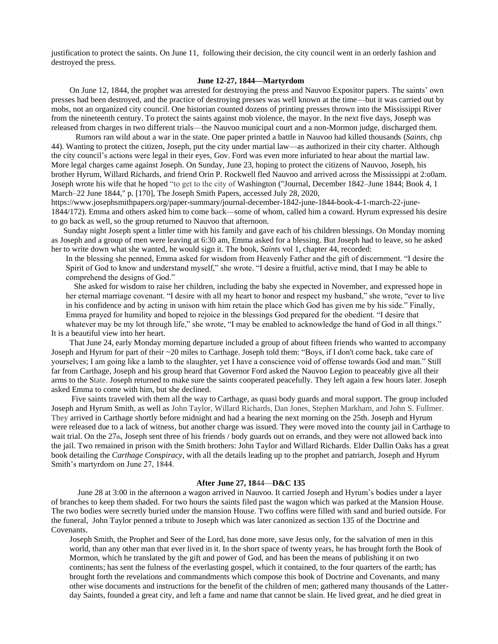justification to protect the saints. On June 11, following their decision, the city council went in an orderly fashion and destroyed the press.

# **June 12-27, 1844—Martyrdom**

 On June 12, 1844, the prophet was arrested for destroying the press and Nauvoo Expositor papers. The saints' own presses had been destroyed, and the practice of destroying presses was well known at the time—but it was carried out by mobs, not an organized city council. One historian counted dozens of printing presses thrown into the Mississippi River from the nineteenth century. To protect the saints against mob violence, the mayor. In the next five days, Joseph was released from charges in two different trials—the Nauvoo municipal court and a non-Mormon judge, discharged them.

 Rumors ran wild about a war in the state. One paper printed a battle in Nauvoo had killed thousands (*Saints,* chp 44). Wanting to protect the citizen, Joseph, put the city under martial law—as authorized in their city charter. Although the city council's actions were legal in their eyes, Gov. Ford was even more infuriated to hear about the martial law. More legal charges came against Joseph. On Sunday, June 23, hoping to protect the citizens of Nauvoo, Joseph, his brother Hyrum, Willard Richards, and friend Orin P. Rockwell fled Nauvoo and arrived across the Mississippi at 2:o0am. Joseph wrote his wife that he hoped "to get to the city of Washington ("Journal, December 1842–June 1844; Book 4, 1 March–22 June 1844," p. [170], The Joseph Smith Papers, accessed July 28, 2020,

https://www.josephsmithpapers.org/paper-summary/journal-december-1842-june-1844-book-4-1-march-22-june-1844/172). Emma and others asked him to come back—some of whom, called him a coward. Hyrum expressed his desire to go back as well, so the group returned to Nauvoo that afternoon.

 Sunday night Joseph spent a littler time with his family and gave each of his children blessings. On Monday morning as Joseph and a group of men were leaving at 6:30 am, Emma asked for a blessing. But Joseph had to leave, so he asked her to write down what she wanted, he would sign it. The book, *Saints* vol 1, chapter 44, recorded:

In the blessing she penned, Emma asked for wisdom from Heavenly Father and the gift of discernment. "I desire the Spirit of God to know and understand myself," she wrote. "I desire a fruitful, active mind, that I may be able to comprehend the designs of God."

 She asked for wisdom to raise her children, including the baby she expected in November, and expressed hope in her eternal marriage covenant. "I desire with all my heart to honor and respect my husband," she wrote, "ever to live in his confidence and by acting in unison with him retain the place which God has given me by his side." Finally, Emma prayed for humility and hoped to rejoice in the blessings God prepared for the obedient. "I desire that

whatever may be my lot through life," she wrote, "I may be enabled to acknowledge the hand of God in all things." It is a beautiful view into her heart.

 That June 24, early Monday morning departure included a group of about fifteen friends who wanted to accompany Joseph and Hyrum for part of their ~20 miles to Carthage. Joseph told them: "Boys, if I don't come back, take care of yourselves; I am going like a lamb to the slaughter, yet I have a conscience void of offense towards God and man." Still far from Carthage, Joseph and his group heard that Governor Ford asked the Nauvoo Legion to peaceably give all their arms to the State. Joseph returned to make sure the saints cooperated peacefully. They left again a few hours later. Joseph asked Emma to come with him, but she declined.

 Five saints traveled with them all the way to Carthage, as quasi body guards and moral support. The group included Joseph and Hyrum Smith, as well as John Taylor, Willard Richards, Dan Jones, Stephen Markham, and John S. Fullmer. They arrived in Carthage shortly before midnight and had a hearing the next morning on the 25th. Joseph and Hyrum were released due to a lack of witness, but another charge was issued. They were moved into the county jail in Carthage to wait trial. On the 27th, Joseph sent three of his friends / body guards out on errands, and they were not allowed back into the jail. Two remained in prison with the Smith brothers: John Taylor and Willard Richards. Elder Dallin Oaks has a great book detailing the *Carthage Conspiracy*, with all the details leading up to the prophet and patriarch, Joseph and Hyrum Smith's martyrdom on June 27, 1844.

# **After June 27, 18**44—**D&C 135**

 June 28 at 3:00 in the afternoon a wagon arrived in Nauvoo. It carried Joseph and Hyrum's bodies under a layer of branches to keep them shaded. For two hours the saints filed past the wagon which was parked at the Mansion House. The two bodies were secretly buried under the mansion House. Two coffins were filled with sand and buried outside. For the funeral, John Taylor penned a tribute to Joseph which was later canonized as section 135 of the Doctrine and Covenants.

Joseph Smith, the Prophet and Seer of the Lord, has done more, save Jesus only, for the salvation of men in this world, than any other man that ever lived in it. In the short space of twenty years, he has brought forth the Book of Mormon, which he translated by the gift and power of God, and has been the means of publishing it on two continents; has sent the fulness of the everlasting gospel, which it contained, to the four quarters of the earth; has brought forth the revelations and commandments which compose this book of Doctrine and Covenants, and many other wise documents and instructions for the benefit of the children of men; gathered many thousands of the Latterday Saints, founded a great city, and left a fame and name that cannot be slain. He lived great, and he died great in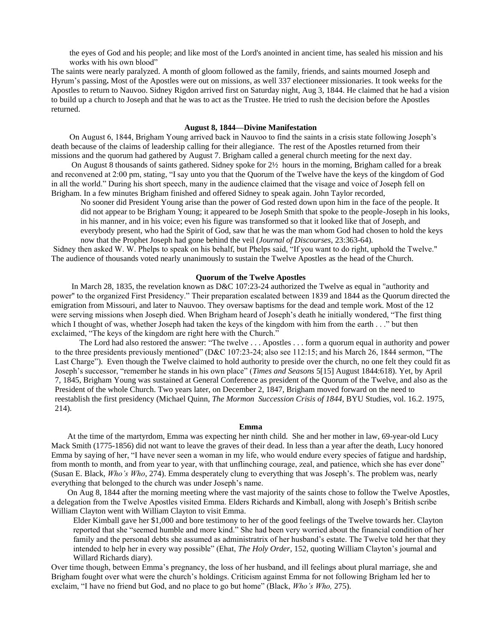the eyes of God and his people; and like most of the Lord's anointed in ancient time, has sealed his mission and his works with his own blood"

The saints were nearly paralyzed. A month of gloom followed as the family, friends, and saints mourned Joseph and Hyrum's passing**.** Most of the Apostles were out on missions, as well 337 electioneer missionaries. It took weeks for the Apostles to return to Nauvoo. Sidney Rigdon arrived first on Saturday night, Aug 3, 1844. He claimed that he had a vision to build up a church to Joseph and that he was to act as the Trustee. He tried to rush the decision before the Apostles returned.

### **August 8, 1844—Divine Manifestation**

 On August 6, 1844, Brigham Young arrived back in Nauvoo to find the saints in a crisis state following Joseph's death because of the claims of leadership calling for their allegiance. The rest of the Apostles returned from their missions and the quorum had gathered by August 7. Brigham called a general church meeting for the next day.

 On August 8 thousands of saints gathered. Sidney spoke for 2½ hours in the morning, Brigham called for a break and reconvened at 2:00 pm, stating, "I say unto you that the Quorum of the Twelve have the keys of the kingdom of God in all the world." During his short speech, many in the audience claimed that the visage and voice of Joseph fell on Brigham. In a few minutes Brigham finished and offered Sidney to speak again. John Taylor recorded,

No sooner did President Young arise than the power of God rested down upon him in the face of the people. It did not appear to be Brigham Young; it appeared to be Joseph Smith that spoke to the people-Joseph in his looks, in his manner, and in his voice; even his figure was transformed so that it looked like that of Joseph, and everybody present, who had the Spirit of God, saw that he was the man whom God had chosen to hold the keys now that the Prophet Joseph had gone behind the veil (*Journal of Discourses,* 23:363-64).

Sidney then asked W. W. Phelps to speak on his behalf, but Phelps said, "If you want to do right, uphold the Twelve." The audience of thousands voted nearly unanimously to sustain the Twelve Apostles as the head of the Church.

### **Quorum of the Twelve Apostles**

 In March 28, 1835, the revelation known as D&C 107:23-24 authorized the Twelve as equal in "authority and power" to the organized First Presidency." Their preparation escalated between 1839 and 1844 as the Quorum directed the emigration from Missouri, and later to Nauvoo. They oversaw baptisms for the dead and temple work. Most of the 12 were serving missions when Joseph died. When Brigham heard of Joseph's death he initially wondered, "The first thing which I thought of was, whether Joseph had taken the keys of the kingdom with him from the earth . . ." but then exclaimed, "The keys of the kingdom are right here with the Church."

 The Lord had also restored the answer: "The twelve . . . Apostles . . . form a quorum equal in authority and power to the three presidents previously mentioned" (D&C 107:23-24; also see 112:15; and his March 26, 1844 sermon, "The Last Charge"). Even though the Twelve claimed to hold authority to preside over the church, no one felt they could fit as Joseph's successor, "remember he stands in his own place" (*Times and Seasons* 5[15] August 1844:618). Yet, by April 7, 1845, Brigham Young was sustained at General Conference as president of the Quorum of the Twelve, and also as the President of the whole Church. Two years later, on December 2, 1847, Brigham moved forward on the need to reestablish the first presidency (Michael Quinn, *The Mormon Succession Crisis of 1844*, BYU Studies, vol. 16.2. 1975, 214).

#### **Emma**

 At the time of the martyrdom, Emma was expecting her ninth child. She and her mother in law, 69-year-old Lucy Mack Smith (1775-1856) did not want to leave the graves of their dead. In less than a year after the death, Lucy honored Emma by saying of her, "I have never seen a woman in my life, who would endure every species of fatigue and hardship, from month to month, and from year to year, with that unflinching courage, zeal, and patience, which she has ever done" (Susan E. Black, *Who's Who*, 274). Emma desperately clung to everything that was Joseph's. The problem was, nearly everything that belonged to the church was under Joseph's name.

 On Aug 8, 1844 after the morning meeting where the vast majority of the saints chose to follow the Twelve Apostles, a delegation from the Twelve Apostles visited Emma. Elders Richards and Kimball, along with Joseph's British scribe William Clayton went with William Clayton to visit Emma.

Elder Kimball gave her \$1,000 and bore testimony to her of the good feelings of the Twelve towards her. Clayton reported that she "seemed humble and more kind." She had been very worried about the financial condition of her family and the personal debts she assumed as administratrix of her husband's estate. The Twelve told her that they intended to help her in every way possible" (Ehat, *The Holy Order,* 152, quoting William Clayton's journal and Willard Richards diary).

Over time though, between Emma's pregnancy, the loss of her husband, and ill feelings about plural marriage, she and Brigham fought over what were the church's holdings. Criticism against Emma for not following Brigham led her to exclaim, "I have no friend but God, and no place to go but home" (Black, *Who's Who,* 275).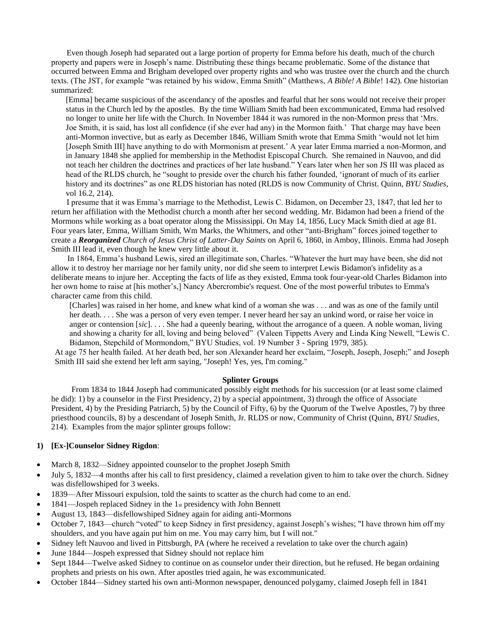Even though Joseph had separated out a large portion of property for Emma before his death, much of the church property and papers were in Joseph's name. Distributing these things became problematic. Some of the distance that occurred between Emma and Brigham developed over property rights and who was trustee over the church and the church texts. (The JST, for example "was retained by his widow, Emma Smith" (Matthews, *A Bible! A Bible*! 142). One historian summarized:

[Emma] became suspicious of the ascendancy of the apostles and fearful that her sons would not receive their proper status in the Church led by the apostles. By the time William Smith had been excommunicated, Emma had resolved no longer to unite her life with the Church. In November 1844 it was rumored in the non-Mormon press that 'Mrs. Joe Smith, it is said, has lost all confidence (if she ever had any) in the Mormon faith.' That charge may have been anti-Mormon invective, but as early as December 1846, William Smith wrote that Emma Smith 'would not let him [Joseph Smith III] have anything to do with Mormonism at present.' A year later Emma married a non-Mormon, and in January 1848 she applied for membership in the Methodist Episcopal Church. She remained in Nauvoo, and did not teach her children the doctrines and practices of her late husband." Years later when her son JS III was placed as head of the RLDS church, he "sought to preside over the church his father founded, 'ignorant of much of its earlier history and its doctrines" as one RLDS historian has noted (RLDS is now Community of Christ. Quinn, *BYU Studies,*  vol 16.2, 214).

 I presume that it was Emma's marriage to the Methodist, Lewis C. Bidamon, on December 23, 1847, that led her to return her affiliation with the Methodist church a month after her second wedding. Mr. Bidamon had been a friend of the Mormons while working as a boat operator along the Mississippi. On May 14, 1856, Lucy Mack Smith died at age 81. Four years later, Emma, William Smith, Wm Marks, the Whitmers, and other "anti-Brigham" forces joined together to create a *Reorganized Church of Jesus Christ of Latter-Day Saints* on April 6, 1860, in Amboy, Illinois. Emma had Joseph Smith III lead it, even though he knew very little about it.

 In 1864, Emma's husband Lewis, sired an illegitimate son, Charles. "Whatever the hurt may have been, she did not allow it to destroy her marriage nor her family unity, nor did she seem to interpret Lewis Bidamon's infidelity as a deliberate means to injure her. Accepting the facts of life as they existed, Emma took four-year-old Charles Bidamon into her own home to raise at [his mother's,] Nancy Abercrombie's request. One of the most powerful tributes to Emma's character came from this child.

[Charles] was raised in her home, and knew what kind of a woman she was . . . and was as one of the family until her death. . . . She was a person of very even temper. I never heard her say an unkind word, or raise her voice in anger or contension [*sic*]. . . . She had a queenly bearing, without the arrogance of a queen. A noble woman, living and showing a charity for all, loving and being beloved" (Valeen Tippetts Avery and Linda King Newell, "Lewis C. Bidamon, Stepchild of Mormondom," BYU Studies, vol. 19 Number 3 - Spring 1979, 385).

At age 75 her health failed. At her death bed, her son Alexander heard her exclaim, "Joseph, Joseph, Joseph;" and Joseph Smith III said she extend her left arm saying, "Joseph! Yes, yes, I'm coming."

# **Splinter Groups**

 From 1834 to 1844 Joseph had communicated possibly eight methods for his succession (or at least some claimed he did): 1) by a counselor in the First Presidency, 2) by a special appointment, 3) through the office of Associate President, 4) by the Presiding Patriarch, 5) by the Council of Fifty, 6) by the Quorum of the Twelve Apostles, 7) by three priesthood councils, 8) by a descendant of Joseph Smith, Jr. RLDS or now, Community of Christ (Quinn, *BYU Studies,*  214). Examples from the major splinter groups follow:

# **1) [Ex-]Counselor Sidney Rigdon**:

- March 8, 1832—Sidney appointed counselor to the prophet Joseph Smith
- July 5, 1832—4 months after his call to first presidency, claimed a revelation given to him to take over the church. Sidney was disfellowshiped for 3 weeks.
- 1839—After Missouri expulsion, told the saints to scatter as the church had come to an end.
- 1841—Jospeh replaced Sidney in the 1st presidency with John Bennett
- August 13, 1843—disfellowshiped Sidney again for aiding anti-Mormons
- October 7, 1843—church "voted" to keep Sidney in first presidency, against Joseph's wishes; "I have thrown him off my shoulders, and you have again put him on me. You may carry him, but I will not."
- Sidney left Nauvoo and lived in Pittsburgh, PA (where he received a revelation to take over the church again)
- June 1844—Jospeh expressed that Sidney should not replace him
- Sept 1844—Twelve asked Sidney to continue on as counselor under their direction, but he refused. He began ordaining prophets and priests on his own. After apostles tried again, he was excommunicated.
- October 1844—Sidney started his own anti-Mormon newspaper, denounced polygamy, claimed Joseph fell in 1841